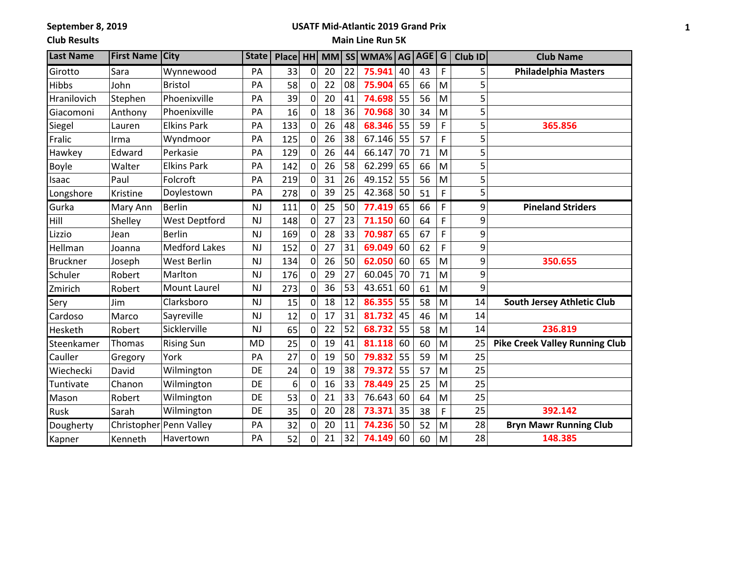**September 8, 2019**

### **USATF Mid-Atlantic 2019 Grand Prix**

**Club Results**

## **Main Line Run 5K**

| <b>Last Name</b> | <b>First Name</b> | <b>City</b>             | <b>State</b> | Place   HH   MM |                |    |    | SS WMA% AG AGE G |    |    |   | Club ID | <b>Club Name</b>                      |
|------------------|-------------------|-------------------------|--------------|-----------------|----------------|----|----|------------------|----|----|---|---------|---------------------------------------|
| Girotto          | Sara              | Wynnewood               | PA           | 33              | 0              | 20 | 22 | 75.941           | 40 | 43 | F | 5       | <b>Philadelphia Masters</b>           |
| Hibbs            | John              | <b>Bristol</b>          | PA           | 58              | 0              | 22 | 08 | 75.904           | 65 | 66 | M | 5       |                                       |
| Hranilovich      | Stephen           | Phoenixville            | PA           | 39              | 0              | 20 | 41 | 74.698           | 55 | 56 | M | 5       |                                       |
| Giacomoni        | Anthony           | Phoenixville            | PA           | 16              | 0              | 18 | 36 | 70.968           | 30 | 34 | M | 5       |                                       |
| Siegel           | Lauren            | <b>Elkins Park</b>      | PA           | 133             | 0              | 26 | 48 | 68.346           | 55 | 59 | F | 5       | 365.856                               |
| Fralic           | Irma              | Wyndmoor                | PA           | 125             | 0              | 26 | 38 | 67.146           | 55 | 57 | F | 5       |                                       |
| Hawkey           | Edward            | Perkasie                | PA           | 129             | 0              | 26 | 44 | 66.147           | 70 | 71 | M | 5       |                                       |
| Boyle            | Walter            | <b>Elkins Park</b>      | PA           | 142             | $\overline{0}$ | 26 | 58 | 62.299           | 65 | 66 | M | 5       |                                       |
| Isaac            | Paul              | Folcroft                | PA           | 219             | 0              | 31 | 26 | 49.152           | 55 | 56 | M | 5       |                                       |
| Longshore        | Kristine          | Doylestown              | PA           | 278             | 0              | 39 | 25 | 42.368           | 50 | 51 | F | 5       |                                       |
| Gurka            | Mary Ann          | <b>Berlin</b>           | <b>NJ</b>    | 111             | $\overline{0}$ | 25 | 50 | 77.419           | 65 | 66 | F | 9       | <b>Pineland Striders</b>              |
| Hill             | Shelley           | <b>West Deptford</b>    | <b>NJ</b>    | 148             | 0              | 27 | 23 | 71.150           | 60 | 64 | F | 9       |                                       |
| Lizzio           | Jean              | <b>Berlin</b>           | <b>NJ</b>    | 169             | 0              | 28 | 33 | 70.987           | 65 | 67 | F | 9       |                                       |
| Hellman          | Joanna            | <b>Medford Lakes</b>    | <b>NJ</b>    | 152             | 0              | 27 | 31 | 69.049           | 60 | 62 | F | 9       |                                       |
| <b>Bruckner</b>  | Joseph            | <b>West Berlin</b>      | NJ           | 134             | 0              | 26 | 50 | 62.050           | 60 | 65 | M | 9       | 350.655                               |
| Schuler          | Robert            | Marlton                 | <b>NJ</b>    | 176             | 0              | 29 | 27 | 60.045           | 70 | 71 | M | 9       |                                       |
| Zmirich          | Robert            | <b>Mount Laurel</b>     | NJ           | 273             | $\overline{0}$ | 36 | 53 | 43.651           | 60 | 61 | M | 9       |                                       |
| Sery             | Jim               | Clarksboro              | <b>NJ</b>    | 15              | 0              | 18 | 12 | 86.355           | 55 | 58 | M | 14      | South Jersey Athletic Club            |
| Cardoso          | Marco             | Sayreville              | <b>NJ</b>    | 12              | 0              | 17 | 31 | 81.732           | 45 | 46 | M | 14      |                                       |
| Hesketh          | Robert            | Sicklerville            | NJ           | 65              | 0              | 22 | 52 | 68.732           | 55 | 58 | M | 14      | 236.819                               |
| Steenkamer       | Thomas            | <b>Rising Sun</b>       | <b>MD</b>    | 25              | 0              | 19 | 41 | 81.118           | 60 | 60 | M | 25      | <b>Pike Creek Valley Running Club</b> |
| Cauller          | Gregory           | York                    | PA           | 27              | 0              | 19 | 50 | 79.832           | 55 | 59 | M | 25      |                                       |
| Wiechecki        | David             | Wilmington              | DE           | 24              | 0              | 19 | 38 | 79.372           | 55 | 57 | M | 25      |                                       |
| Tuntivate        | Chanon            | Wilmington              | DE           | 6               | 0              | 16 | 33 | 78.449           | 25 | 25 | M | 25      |                                       |
| Mason            | Robert            | Wilmington              | DE           | 53              | 0              | 21 | 33 | 76.643           | 60 | 64 | M | 25      |                                       |
| Rusk             | Sarah             | Wilmington              | DE           | 35              | $\overline{0}$ | 20 | 28 | 73.371           | 35 | 38 | F | 25      | 392.142                               |
| Dougherty        |                   | Christopher Penn Valley | PA           | 32              | $\overline{0}$ | 20 | 11 | 74.236           | 50 | 52 | M | 28      | <b>Bryn Mawr Running Club</b>         |
| Kapner           | Kenneth           | Havertown               | PA           | 52              | 0              | 21 | 32 | 74.149           | 60 | 60 | M | 28      | 148.385                               |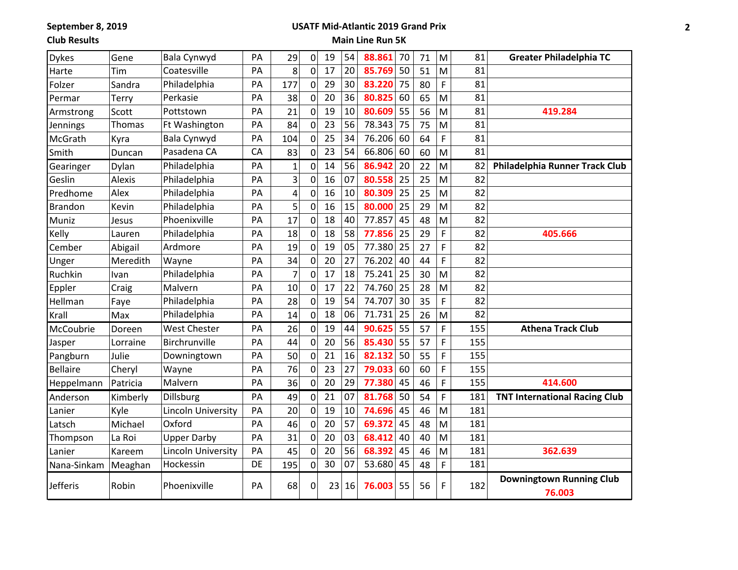**September 8, 2019**

# **USATF Mid-Atlantic 2019 Grand Prix**

**Club Results**

## **Main Line Run 5K**

| <b>Dykes</b>    | Gene     | Bala Cynwyd               | PA | 29             | 0              | 19 | 54 | 88.861 | 70 | 71 | M            | 81  | <b>Greater Philadelphia TC</b>            |
|-----------------|----------|---------------------------|----|----------------|----------------|----|----|--------|----|----|--------------|-----|-------------------------------------------|
| Harte           | Tim      | Coatesville               | PA | 8              | 0              | 17 | 20 | 85.769 | 50 | 51 | M            | 81  |                                           |
| Folzer          | Sandra   | Philadelphia              | PA | 177            | 0              | 29 | 30 | 83.220 | 75 | 80 | F            | 81  |                                           |
| Permar          | Terry    | Perkasie                  | PA | 38             | 0              | 20 | 36 | 80.825 | 60 | 65 | M            | 81  |                                           |
| Armstrong       | Scott    | Pottstown                 | PA | 21             | 0              | 19 | 10 | 80.609 | 55 | 56 | M            | 81  | 419.284                                   |
| Jennings        | Thomas   | Ft Washington             | PA | 84             | 0              | 23 | 56 | 78.343 | 75 | 75 | M            | 81  |                                           |
| McGrath         | Kyra     | Bala Cynwyd               | PA | 104            | 0              | 25 | 34 | 76.206 | 60 | 64 | F            | 81  |                                           |
| Smith           | Duncan   | Pasadena CA               | CA | 83             | 0              | 23 | 54 | 66.806 | 60 | 60 | M            | 81  |                                           |
| Gearinger       | Dylan    | Philadelphia              | PA | 1              | 0              | 14 | 56 | 86.942 | 20 | 22 | M            | 82  | Philadelphia Runner Track Club            |
| Geslin          | Alexis   | Philadelphia              | PA | 3              | 0              | 16 | 07 | 80.558 | 25 | 25 | M            | 82  |                                           |
| Predhome        | Alex     | Philadelphia              | PA | 4              | 0              | 16 | 10 | 80.309 | 25 | 25 | M            | 82  |                                           |
| <b>Brandon</b>  | Kevin    | Philadelphia              | PA | 5              | 0              | 16 | 15 | 80.000 | 25 | 29 | M            | 82  |                                           |
| Muniz           | Jesus    | Phoenixville              | PA | 17             | 0              | 18 | 40 | 77.857 | 45 | 48 | M            | 82  |                                           |
| Kelly           | Lauren   | Philadelphia              | PA | 18             | 0              | 18 | 58 | 77.856 | 25 | 29 | F            | 82  | 405.666                                   |
| Cember          | Abigail  | Ardmore                   | PA | 19             | 0              | 19 | 05 | 77.380 | 25 | 27 | F            | 82  |                                           |
| Unger           | Meredith | Wayne                     | PA | 34             | 0              | 20 | 27 | 76.202 | 40 | 44 | F            | 82  |                                           |
| Ruchkin         | Ivan     | Philadelphia              | PA | $\overline{7}$ | 0              | 17 | 18 | 75.241 | 25 | 30 | M            | 82  |                                           |
| Eppler          | Craig    | Malvern                   | PA | 10             | 0              | 17 | 22 | 74.760 | 25 | 28 | M            | 82  |                                           |
| Hellman         | Faye     | Philadelphia              | PA | 28             | 0              | 19 | 54 | 74.707 | 30 | 35 | F            | 82  |                                           |
| Krall           | Max      | Philadelphia              | PA | 14             | 0              | 18 | 06 | 71.731 | 25 | 26 | M            | 82  |                                           |
| McCoubrie       | Doreen   | <b>West Chester</b>       | PA | 26             | 0              | 19 | 44 | 90.625 | 55 | 57 | F            | 155 | <b>Athena Track Club</b>                  |
| Jasper          | Lorraine | Birchrunville             | PA | 44             | 0              | 20 | 56 | 85.430 | 55 | 57 | F            | 155 |                                           |
| Pangburn        | Julie    | Downingtown               | PA | 50             | 0              | 21 | 16 | 82.132 | 50 | 55 | F            | 155 |                                           |
| <b>Bellaire</b> | Cheryl   | Wayne                     | PA | 76             | 0              | 23 | 27 | 79.033 | 60 | 60 | F            | 155 |                                           |
| Heppelmann      | Patricia | Malvern                   | PA | 36             | 0              | 20 | 29 | 77.380 | 45 | 46 | F            | 155 | 414.600                                   |
| Anderson        | Kimberly | Dillsburg                 | PA | 49             | $\overline{0}$ | 21 | 07 | 81.768 | 50 | 54 | F            | 181 | <b>TNT International Racing Club</b>      |
| Lanier          | Kyle     | <b>Lincoln University</b> | PA | 20             | 0              | 19 | 10 | 74.696 | 45 | 46 | M            | 181 |                                           |
| Latsch          | Michael  | Oxford                    | PA | 46             | 0              | 20 | 57 | 69.372 | 45 | 48 | M            | 181 |                                           |
| Thompson        | La Roi   | <b>Upper Darby</b>        | PA | 31             | 0              | 20 | 03 | 68.412 | 40 | 40 | M            | 181 |                                           |
| Lanier          | Kareem   | Lincoln University        | PA | 45             | 0              | 20 | 56 | 68.392 | 45 | 46 | M            | 181 | 362.639                                   |
| Nana-Sinkam     | Meaghan  | Hockessin                 | DE | 195            | 0              | 30 | 07 | 53.680 | 45 | 48 | $\mathsf{F}$ | 181 |                                           |
| Jefferis        | Robin    | Phoenixville              | PA | 68             | 0              | 23 | 16 | 76.003 | 55 | 56 | F            | 182 | <b>Downingtown Running Club</b><br>76.003 |